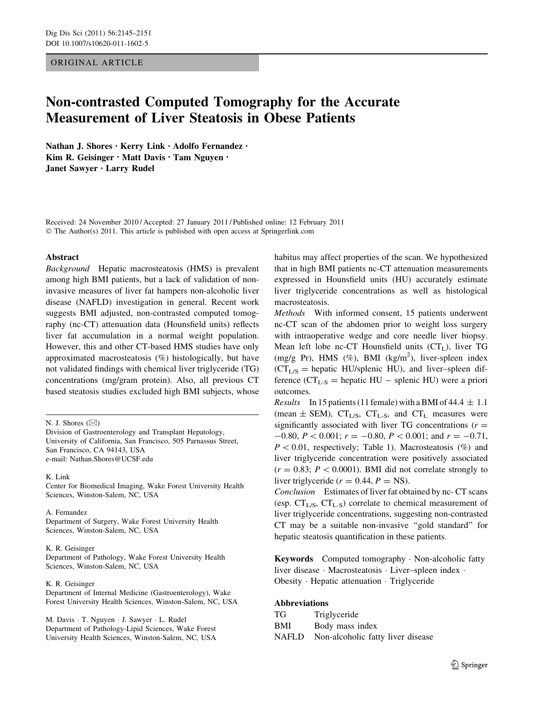## ORIGINAL ARTICLE

# Non-contrasted Computed Tomography for the Accurate Measurement of Liver Steatosis in Obese Patients

Nathan J. Shores • Kerry Link • Adolfo Fernandez • Kim R. Geisinger · Matt Davis · Tam Nguyen · Janet Sawyer • Larry Rudel

Received: 24 November 2010 / Accepted: 27 January 2011 / Published online: 12 February 2011 © The Author(s) 2011. This article is published with open access at Springerlink.com

## Abstract

Background Hepatic macrosteatosis (HMS) is prevalent among high BMI patients, but a lack of validation of noninvasive measures of liver fat hampers non-alcoholic liver disease (NAFLD) investigation in general. Recent work suggests BMI adjusted, non-contrasted computed tomography (nc-CT) attenuation data (Hounsfield units) reflects liver fat accumulation in a normal weight population. However, this and other CT-based HMS studies have only approximated macrosteatosis (%) histologically, but have not validated findings with chemical liver triglyceride (TG) concentrations (mg/gram protein). Also, all previous CT based steatosis studies excluded high BMI subjects, whose

Division of Gastroenterology and Transplant Hepatology, University of California, San Francisco, 505 Parnassus Street, San Francisco, CA 94143, USA e-mail: Nathan.Shores@UCSF.edu

#### K. Link

Center for Biomedical Imaging, Wake Forest University Health Sciences, Winston-Salem, NC, USA

#### A. Fernandez

Department of Surgery, Wake Forest University Health Sciences, Winston-Salem, NC, USA

#### K. R. Geisinger

Department of Pathology, Wake Forest University Health Sciences, Winston-Salem, NC, USA

#### K. R. Geisinger

Department of Internal Medicine (Gastroenterology), Wake Forest University Health Sciences, Winston-Salem, NC, USA

M. Davis · T. Nguyen · J. Sawyer · L. Rudel Department of Pathology-Lipid Sciences, Wake Forest University Health Sciences, Winston-Salem, NC, USA habitus may affect properties of the scan. We hypothesized that in high BMI patients nc-CT attenuation measurements expressed in Hounsfield units (HU) accurately estimate liver triglyceride concentrations as well as histological macrosteatosis.

Methods With informed consent, 15 patients underwent nc-CT scan of the abdomen prior to weight loss surgery with intraoperative wedge and core needle liver biopsy. Mean left lobe nc-CT Hounsfield units  $(CT<sub>L</sub>)$ , liver TG (mg/g Pr), HMS  $(\%)$ , BMI (kg/m<sup>2</sup>), liver-spleen index  $(CT_{L/S}$  = hepatic HU/splenic HU), and liver–spleen difference ( $CT_{L-S}$  = hepatic HU – splenic HU) were a priori outcomes.

*Results* In 15 patients (11 female) with a BMI of 44.4  $\pm$  1.1 (mean  $\pm$  SEM), CT<sub>L/S</sub>, CT<sub>L-S</sub>, and CT<sub>L</sub> measures were significantly associated with liver TG concentrations  $(r =$  $-0.80, P < 0.001; r = -0.80, P < 0.001;$  and  $r = -0.71$ ,  $P < 0.01$ , respectively; Table 1). Macrosteatosis (%) and liver triglyceride concentration were positively associated  $(r = 0.83; P < 0.0001)$ . BMI did not correlate strongly to liver triglyceride ( $r = 0.44$ ,  $P = NS$ ).

Conclusion Estimates of liver fat obtained by nc- CT scans (esp.  $CT_{L/S}$ ,  $CT_{L-S}$ ) correlate to chemical measurement of liver triglyceride concentrations, suggesting non-contrasted CT may be a suitable non-invasive ''gold standard'' for hepatic steatosis quantification in these patients.

Keywords Computed tomography - Non-alcoholic fatty liver disease · Macrosteatosis · Liver-spleen index · Obesity - Hepatic attenuation - Triglyceride

### Abbreviations

| TG  | Triglyceride                            |
|-----|-----------------------------------------|
| BMI | Body mass index                         |
|     | NAFLD Non-alcoholic fatty liver disease |

N. J. Shores  $(\boxtimes)$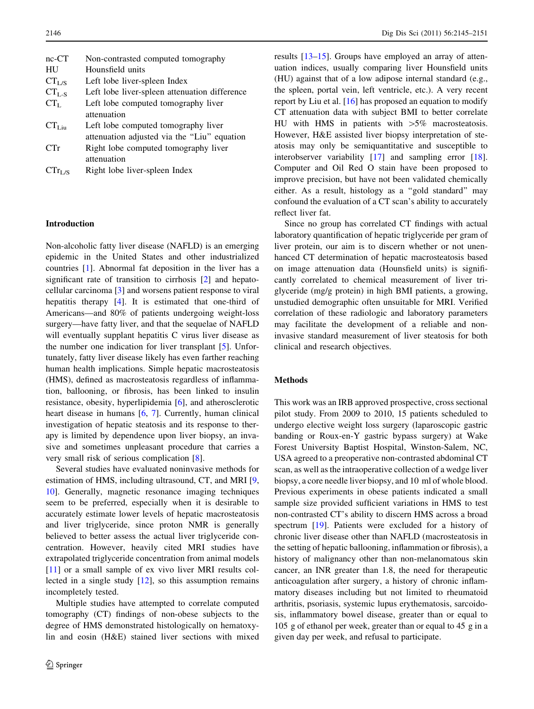| $nc-CT$           | Non-contrasted computed tomography            |
|-------------------|-----------------------------------------------|
| HU                | Hounsfield units                              |
| $CT_{L/S}$        | Left lobe liver-spleen Index                  |
| $CT_{L-S}$        | Left lobe liver-spleen attenuation difference |
| $CT_{L}$          | Left lobe computed tomography liver           |
|                   | attenuation                                   |
| $CT_{\text{Lin}}$ | Left lobe computed tomography liver           |
|                   | attenuation adjusted via the "Liu" equation   |
| CTr               | Right lobe computed tomography liver          |
|                   | attenuation                                   |
| $CTr_{L/S}$       | Right lobe liver-spleen Index                 |

## Introduction

Non-alcoholic fatty liver disease (NAFLD) is an emerging epidemic in the United States and other industrialized countries [\[1](#page-5-0)]. Abnormal fat deposition in the liver has a significant rate of transition to cirrhosis [\[2](#page-5-0)] and hepatocellular carcinoma [\[3](#page-5-0)] and worsens patient response to viral hepatitis therapy [[4\]](#page-5-0). It is estimated that one-third of Americans—and 80% of patients undergoing weight-loss surgery—have fatty liver, and that the sequelae of NAFLD will eventually supplant hepatitis C virus liver disease as the number one indication for liver transplant [\[5](#page-5-0)]. Unfortunately, fatty liver disease likely has even farther reaching human health implications. Simple hepatic macrosteatosis (HMS), defined as macrosteatosis regardless of inflammation, ballooning, or fibrosis, has been linked to insulin resistance, obesity, hyperlipidemia [\[6](#page-5-0)], and atherosclerotic heart disease in humans [[6,](#page-5-0) [7\]](#page-5-0). Currently, human clinical investigation of hepatic steatosis and its response to therapy is limited by dependence upon liver biopsy, an invasive and sometimes unpleasant procedure that carries a very small risk of serious complication [[8\]](#page-5-0).

Several studies have evaluated noninvasive methods for estimation of HMS, including ultrasound, CT, and MRI [[9,](#page-5-0) [10](#page-5-0)]. Generally, magnetic resonance imaging techniques seem to be preferred, especially when it is desirable to accurately estimate lower levels of hepatic macrosteatosis and liver triglyceride, since proton NMR is generally believed to better assess the actual liver triglyceride concentration. However, heavily cited MRI studies have extrapolated triglyceride concentration from animal models [\[11](#page-6-0)] or a small sample of ex vivo liver MRI results collected in a single study [[12\]](#page-6-0), so this assumption remains incompletely tested.

Multiple studies have attempted to correlate computed tomography (CT) findings of non-obese subjects to the degree of HMS demonstrated histologically on hematoxylin and eosin (H&E) stained liver sections with mixed results [\[13–15](#page-6-0)]. Groups have employed an array of attenuation indices, usually comparing liver Hounsfield units (HU) against that of a low adipose internal standard (e.g., the spleen, portal vein, left ventricle, etc.). A very recent report by Liu et al. [\[16](#page-6-0)] has proposed an equation to modify CT attenuation data with subject BMI to better correlate HU with HMS in patients with  $>5\%$  macrosteatosis. However, H&E assisted liver biopsy interpretation of steatosis may only be semiquantitative and susceptible to interobserver variability [\[17](#page-6-0)] and sampling error [\[18](#page-6-0)]. Computer and Oil Red O stain have been proposed to improve precision, but have not been validated chemically either. As a result, histology as a ''gold standard'' may confound the evaluation of a CT scan's ability to accurately reflect liver fat.

Since no group has correlated CT findings with actual laboratory quantification of hepatic triglyceride per gram of liver protein, our aim is to discern whether or not unenhanced CT determination of hepatic macrosteatosis based on image attenuation data (Hounsfield units) is significantly correlated to chemical measurement of liver triglyceride (mg/g protein) in high BMI patients, a growing, unstudied demographic often unsuitable for MRI. Verified correlation of these radiologic and laboratory parameters may facilitate the development of a reliable and noninvasive standard measurement of liver steatosis for both clinical and research objectives.

## Methods

This work was an IRB approved prospective, cross sectional pilot study. From 2009 to 2010, 15 patients scheduled to undergo elective weight loss surgery (laparoscopic gastric banding or Roux-en-Y gastric bypass surgery) at Wake Forest University Baptist Hospital, Winston-Salem, NC, USA agreed to a preoperative non-contrasted abdominal CT scan, as well as the intraoperative collection of a wedge liver biopsy, a core needle liver biopsy, and 10 ml of whole blood. Previous experiments in obese patients indicated a small sample size provided sufficient variations in HMS to test non-contrasted CT's ability to discern HMS across a broad spectrum [\[19](#page-6-0)]. Patients were excluded for a history of chronic liver disease other than NAFLD (macrosteatosis in the setting of hepatic ballooning, inflammation or fibrosis), a history of malignancy other than non-melanomatous skin cancer, an INR greater than 1.8, the need for therapeutic anticoagulation after surgery, a history of chronic inflammatory diseases including but not limited to rheumatoid arthritis, psoriasis, systemic lupus erythematosis, sarcoidosis, inflammatory bowel disease, greater than or equal to 105 g of ethanol per week, greater than or equal to 45 g in a given day per week, and refusal to participate.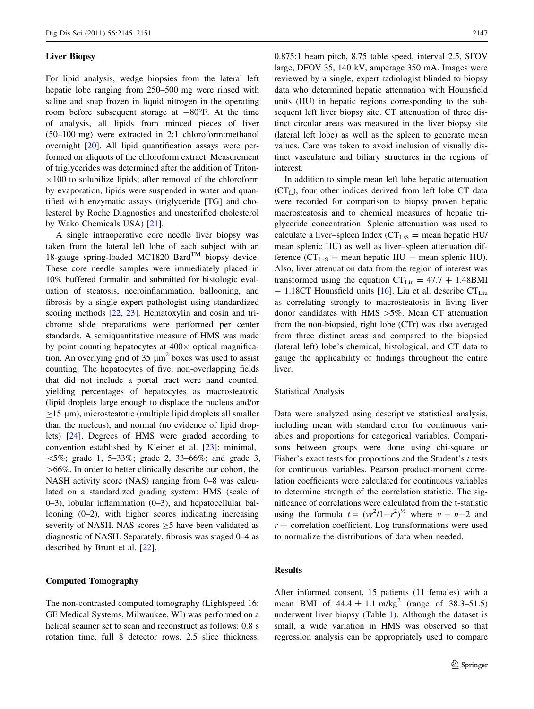### Liver Biopsy

For lipid analysis, wedge biopsies from the lateral left hepatic lobe ranging from 250–500 mg were rinsed with saline and snap frozen in liquid nitrogen in the operating room before subsequent storage at  $-80^{\circ}$ F. At the time of analysis, all lipids from minced pieces of liver (50–100 mg) were extracted in 2:1 chloroform:methanol overnight [\[20](#page-6-0)]. All lipid quantification assays were performed on aliquots of the chloroform extract. Measurement of triglycerides was determined after the addition of Triton- $\times$ 100 to solubilize lipids; after removal of the chloroform by evaporation, lipids were suspended in water and quantified with enzymatic assays (triglyceride [TG] and cholesterol by Roche Diagnostics and unesterified cholesterol by Wako Chemicals USA) [\[21\]](#page-6-0).

A single intraoperative core needle liver biopsy was taken from the lateral left lobe of each subject with an 18-gauge spring-loaded MC1820 Bard<sup>TM</sup> biopsy device. These core needle samples were immediately placed in 10% buffered formalin and submitted for histologic evaluation of steatosis, necroinflammation, ballooning, and fibrosis by a single expert pathologist using standardized scoring methods [[22,](#page-6-0) [23\]](#page-6-0). Hematoxylin and eosin and trichrome slide preparations were performed per center standards. A semiquantitative measure of HMS was made by point counting hepatocytes at  $400 \times$  optical magnification. An overlying grid of 35  $\mu$ m<sup>2</sup> boxes was used to assist counting. The hepatocytes of five, non-overlapping fields that did not include a portal tract were hand counted, yielding percentages of hepatocytes as macrosteatotic (lipid droplets large enough to displace the nucleus and/or  $\geq$ 15 µm), microsteatotic (multiple lipid droplets all smaller than the nucleus), and normal (no evidence of lipid droplets) [\[24](#page-6-0)]. Degrees of HMS were graded according to convention established by Kleiner et al. [\[23](#page-6-0)]: minimal,  $\leq 5\%$ ; grade 1, 5–33%; grade 2, 33–66%; and grade 3,  $>66\%$ . In order to better clinically describe our cohort, the NASH activity score (NAS) ranging from 0–8 was calculated on a standardized grading system: HMS (scale of 0–3), lobular inflammation (0–3), and hepatocellular ballooning (0–2), with higher scores indicating increasing severity of NASH. NAS scores  $\geq$ 5 have been validated as diagnostic of NASH. Separately, fibrosis was staged 0–4 as described by Brunt et al. [\[22](#page-6-0)].

# Computed Tomography

The non-contrasted computed tomography (Lightspeed 16; GE Medical Systems, Milwaukee, WI) was performed on a helical scanner set to scan and reconstruct as follows: 0.8 s rotation time, full 8 detector rows, 2.5 slice thickness,

0.875:1 beam pitch, 8.75 table speed, interval 2.5, SFOV large, DFOV 35, 140 kV, amperage 350 mA. Images were reviewed by a single, expert radiologist blinded to biopsy data who determined hepatic attenuation with Hounsfield units (HU) in hepatic regions corresponding to the subsequent left liver biopsy site. CT attenuation of three distinct circular areas was measured in the liver biopsy site (lateral left lobe) as well as the spleen to generate mean values. Care was taken to avoid inclusion of visually distinct vasculature and biliary structures in the regions of interest.

In addition to simple mean left lobe hepatic attenuation  $(CT<sub>L</sub>)$ , four other indices derived from left lobe CT data were recorded for comparison to biopsy proven hepatic macrosteatosis and to chemical measures of hepatic triglyceride concentration. Splenic attenuation was used to calculate a liver–spleen Index ( $CT_{L/S}$  = mean hepatic HU/ mean splenic HU) as well as liver–spleen attenuation difference  $(CT_{L-S}$  = mean hepatic HU - mean splenic HU). Also, liver attenuation data from the region of interest was transformed using the equation  $CT_{\text{Liu}} = 47.7 + 1.48 \text{BMI}$  $- 1.18CT$  Hounsfield units [\[16](#page-6-0)]. Liu et al. describe  $CT_{Lin}$ as correlating strongly to macrosteatosis in living liver donor candidates with HMS  $>5\%$ . Mean CT attenuation from the non-biopsied, right lobe (CTr) was also averaged from three distinct areas and compared to the biopsied (lateral left) lobe's chemical, histological, and CT data to gauge the applicability of findings throughout the entire liver.

#### Statistical Analysis

Data were analyzed using descriptive statistical analysis, including mean with standard error for continuous variables and proportions for categorical variables. Comparisons between groups were done using chi-square or Fisher's exact tests for proportions and the Student's  $t$  tests for continuous variables. Pearson product-moment correlation coefficients were calculated for continuous variables to determine strength of the correlation statistic. The significance of correlations were calculated from the t-statistic using the formula  $t = (vr^2/1 - r^2)^{1/2}$  where  $v = n-2$  and  $r =$  correlation coefficient. Log transformations were used to normalize the distributions of data when needed.

# Results

After informed consent, 15 patients (11 females) with a mean BMI of  $44.4 \pm 1.1$  m/kg<sup>2</sup> (range of 38.3–51.5) underwent liver biopsy (Table [1](#page-3-0)). Although the dataset is small, a wide variation in HMS was observed so that regression analysis can be appropriately used to compare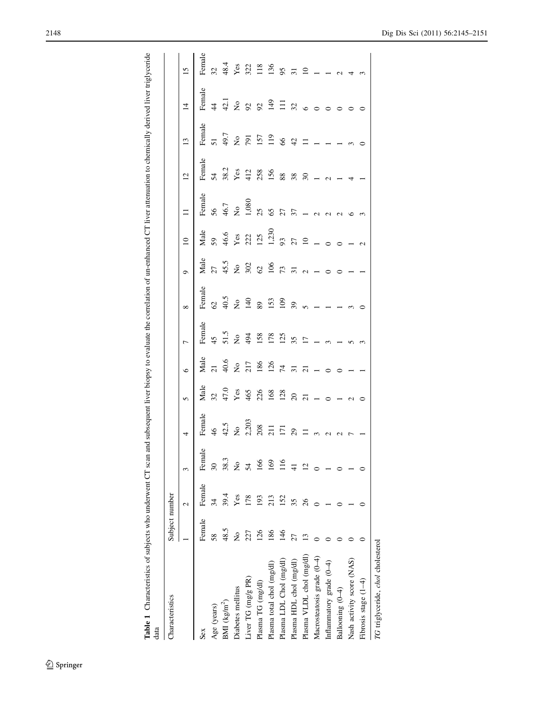<span id="page-3-0"></span>

| <b>Control</b><br>j        |  |
|----------------------------|--|
| $\frac{1}{2}$              |  |
| ś                          |  |
| j<br>i                     |  |
| $\sim$ $\sim$              |  |
| Í<br>Ï                     |  |
|                            |  |
| i                          |  |
| i<br>ì<br>١<br>)<br>}<br>} |  |
|                            |  |
| i<br>j<br>j<br>ī<br>ř<br>j |  |
| i<br>$\frac{1}{\zeta}$     |  |
|                            |  |
| ļ                          |  |
|                            |  |
| i<br>י<br>נ<br>i<br>ţ<br>j |  |
| <b>CONTACT</b>             |  |
| I<br>i<br>j                |  |

| Characteristics                   | Subject number |               |                          |                                           |                                                                                                                                                                                       |                                                                  |                                                                                                          |                                                                                                                                                                                                                                |                                                 |                |        |                |                                                                                                                                                                                                                                                                                                               |                                                                                                                                                                                                                                                                                                                      |                 |
|-----------------------------------|----------------|---------------|--------------------------|-------------------------------------------|---------------------------------------------------------------------------------------------------------------------------------------------------------------------------------------|------------------------------------------------------------------|----------------------------------------------------------------------------------------------------------|--------------------------------------------------------------------------------------------------------------------------------------------------------------------------------------------------------------------------------|-------------------------------------------------|----------------|--------|----------------|---------------------------------------------------------------------------------------------------------------------------------------------------------------------------------------------------------------------------------------------------------------------------------------------------------------|----------------------------------------------------------------------------------------------------------------------------------------------------------------------------------------------------------------------------------------------------------------------------------------------------------------------|-----------------|
|                                   |                | $\mathcal{L}$ |                          | 4                                         | $\mathbf{v}$                                                                                                                                                                          | $\circ$                                                          |                                                                                                          |                                                                                                                                                                                                                                | $\circ$                                         | $\overline{a}$ |        | $\overline{5}$ | $\frac{13}{2}$                                                                                                                                                                                                                                                                                                | $\overline{4}$                                                                                                                                                                                                                                                                                                       | $\overline{15}$ |
| Sex                               | Female         | Female        | Female                   | Female                                    | Male                                                                                                                                                                                  | Male                                                             | Female                                                                                                   | Female                                                                                                                                                                                                                         |                                                 |                | Female | Female         | Female                                                                                                                                                                                                                                                                                                        | Female                                                                                                                                                                                                                                                                                                               | Female          |
| Age (years)                       | 58             | 34            | $\overline{\omega}$      |                                           |                                                                                                                                                                                       |                                                                  |                                                                                                          |                                                                                                                                                                                                                                |                                                 |                |        |                |                                                                                                                                                                                                                                                                                                               |                                                                                                                                                                                                                                                                                                                      |                 |
| BMI $(kg/m^2)$                    | 48.5           | 39.4          | 38.3                     |                                           |                                                                                                                                                                                       |                                                                  |                                                                                                          |                                                                                                                                                                                                                                |                                                 |                |        |                |                                                                                                                                                                                                                                                                                                               |                                                                                                                                                                                                                                                                                                                      |                 |
| Diabetes mellitus                 | $\frac{1}{2}$  | Yes           | ş                        |                                           |                                                                                                                                                                                       |                                                                  |                                                                                                          |                                                                                                                                                                                                                                |                                                 |                |        |                |                                                                                                                                                                                                                                                                                                               |                                                                                                                                                                                                                                                                                                                      |                 |
| Liver TG (mg/g PR)                | 227            | 178           | 54                       | $46.5$ $42.5$ $203$ $203$ $51$ $11$ $203$ | $7.08$ $7.08$ $7.08$ $7.08$ $7.08$ $7.08$ $7.08$ $7.08$ $7.08$ $7.08$ $7.08$ $7.08$ $7.08$ $7.08$ $7.08$ $7.08$ $7.08$ $7.08$ $7.08$ $7.08$ $7.08$ $7.08$ $7.08$ $7.08$ $7.08$ $7.08$ | $21$<br>$40.6$<br>$217$<br>$86$<br>$126$<br>$74$<br>$71$<br>$71$ | $45$<br>$51.5$<br>$24$<br>$358$<br>$253$<br>$51$<br>$51$<br>$51$<br>$51$<br>$51$<br>$51$<br>$51$<br>$51$ | $629.5$ $63.5$ $64.5$ $65.5$ $65.5$ $65.5$ $65.5$ $65.5$ $65.5$ $65.5$ $65.5$ $65.5$ $65.5$ $65.5$ $65.5$ $65.5$ $65.5$ $65.5$ $65.5$ $65.5$ $65.5$ $65.5$ $65.5$ $65.5$ $65.5$ $65.5$ $65.5$ $65.5$ $65.5$ $65.5$ $65.5$ $65$ | Male<br>27<br>45.5<br>302<br>10 5 7<br>3 1<br>2 |                |        |                | $\begin{array}{c} 51 \\ 49.7 \\ 20.7 \\ 21.5 \\ 22.5 \\ 23.5 \\ 24.5 \\ 25.5 \\ 26.4 \\ 27.5 \\ 28.4 \\ 29.5 \\ 20.4 \\ 21.5 \\ 22.5 \\ 23.5 \\ 24.5 \\ 25.5 \\ 26.4 \\ 27.5 \\ 28.5 \\ 29.5 \\ 29.5 \\ 20.5 \\ 20.5 \\ 20.5 \\ 20.5 \\ 20.5 \\ 20.5 \\ 20.5 \\ 20.5 \\ 20.5 \\ 20.5 \\ 20.5 \\ 20.5 \\ 20.5$ | $4\frac{1}{2}$ $\frac{1}{2}$ $\frac{1}{2}$ $\frac{1}{3}$ $\frac{3}{4}$ $\frac{3}{4}$ $\frac{1}{2}$ $\frac{1}{3}$ $\frac{1}{2}$ $\frac{1}{2}$ $\frac{1}{2}$ $\frac{1}{2}$ $\frac{1}{2}$ $\frac{1}{2}$ $\frac{1}{2}$ $\frac{1}{2}$ $\frac{1}{2}$ $\frac{1}{2}$ $\frac{1}{2}$ $\frac{1}{2}$ $\frac{1}{2}$ $\frac{1}{2}$ |                 |
| Plasma TG (mg/dl)                 | $\frac{26}{5}$ | 193           | 166                      |                                           |                                                                                                                                                                                       |                                                                  |                                                                                                          |                                                                                                                                                                                                                                |                                                 |                |        |                |                                                                                                                                                                                                                                                                                                               |                                                                                                                                                                                                                                                                                                                      |                 |
| Plasma total chol (mg/dl)         | 186            | 213           | 169                      |                                           |                                                                                                                                                                                       |                                                                  |                                                                                                          |                                                                                                                                                                                                                                |                                                 |                |        |                |                                                                                                                                                                                                                                                                                                               |                                                                                                                                                                                                                                                                                                                      |                 |
| Plasma LDL Chol (mg/dl)           | 146            | 152           | 116                      |                                           |                                                                                                                                                                                       |                                                                  |                                                                                                          |                                                                                                                                                                                                                                |                                                 |                |        |                |                                                                                                                                                                                                                                                                                                               |                                                                                                                                                                                                                                                                                                                      |                 |
| Plasma HDL chol (mg/dl)           | 27             | 35            |                          |                                           |                                                                                                                                                                                       |                                                                  |                                                                                                          |                                                                                                                                                                                                                                |                                                 |                |        |                |                                                                                                                                                                                                                                                                                                               |                                                                                                                                                                                                                                                                                                                      |                 |
| Plasma VLDL chol (mg/dl)          | ≌              | 26            | $\overline{\mathcal{C}}$ |                                           |                                                                                                                                                                                       |                                                                  |                                                                                                          |                                                                                                                                                                                                                                |                                                 |                |        |                |                                                                                                                                                                                                                                                                                                               |                                                                                                                                                                                                                                                                                                                      |                 |
| Macrosteatosis grade (0-4)        |                |               |                          |                                           |                                                                                                                                                                                       |                                                                  |                                                                                                          |                                                                                                                                                                                                                                |                                                 |                |        |                |                                                                                                                                                                                                                                                                                                               |                                                                                                                                                                                                                                                                                                                      |                 |
| Inflammatory grade $(0-4)$        |                |               |                          |                                           |                                                                                                                                                                                       |                                                                  |                                                                                                          |                                                                                                                                                                                                                                |                                                 |                |        |                |                                                                                                                                                                                                                                                                                                               |                                                                                                                                                                                                                                                                                                                      |                 |
| Ballooning (0-4)                  |                |               |                          |                                           |                                                                                                                                                                                       |                                                                  |                                                                                                          |                                                                                                                                                                                                                                |                                                 |                |        |                |                                                                                                                                                                                                                                                                                                               |                                                                                                                                                                                                                                                                                                                      |                 |
| Nash activity score (NAS)         |                |               |                          |                                           |                                                                                                                                                                                       |                                                                  |                                                                                                          |                                                                                                                                                                                                                                |                                                 |                |        |                |                                                                                                                                                                                                                                                                                                               |                                                                                                                                                                                                                                                                                                                      |                 |
| Fibrosis stage (1-4)              |                |               |                          |                                           |                                                                                                                                                                                       |                                                                  |                                                                                                          |                                                                                                                                                                                                                                |                                                 |                |        |                |                                                                                                                                                                                                                                                                                                               |                                                                                                                                                                                                                                                                                                                      |                 |
| TG triglyceride, chol cholesterol |                |               |                          |                                           |                                                                                                                                                                                       |                                                                  |                                                                                                          |                                                                                                                                                                                                                                |                                                 |                |        |                |                                                                                                                                                                                                                                                                                                               |                                                                                                                                                                                                                                                                                                                      |                 |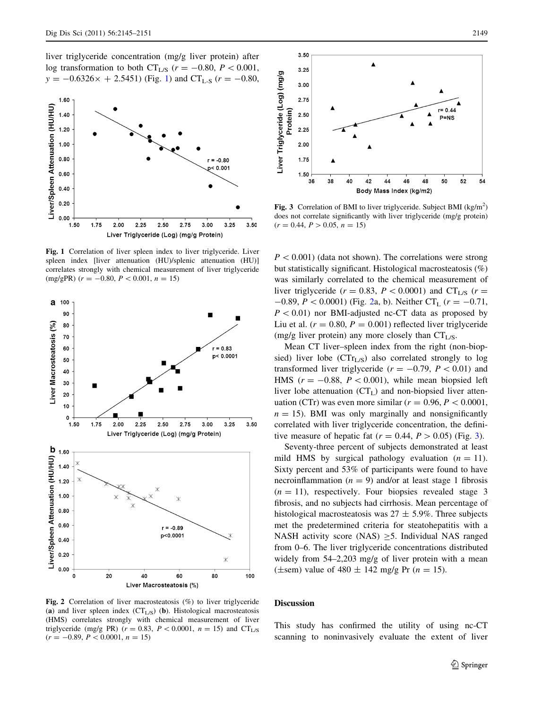<span id="page-4-0"></span>liver triglyceride concentration (mg/g liver protein) after log transformation to both  $CT_{L/S}$  ( $r = -0.80$ ,  $P < 0.001$ ,  $y = -0.6326 \times + 2.5451$ ) (Fig. 1) and CT<sub>L-S</sub> ( $r = -0.80$ ,



Fig. 1 Correlation of liver spleen index to liver triglyceride. Liver spleen index [liver attenuation (HU)/splenic attenuation (HU)] correlates strongly with chemical measurement of liver triglyceride  $(mg/gPR)$   $(r = -0.80, P < 0.001, n = 15)$ 



Fig. 2 Correlation of liver macrosteatosis (%) to liver triglyceride (a) and liver spleen index  $(CT_{L/S})$  (b). Histological macrosteatosis (HMS) correlates strongly with chemical measurement of liver triglyceride (mg/g PR) ( $r = 0.83$ ,  $P \lt 0.0001$ ,  $n = 15$ ) and CT<sub>L/S</sub>  $(r = -0.89, P < 0.0001, n = 15)$ 



Fig. 3 Correlation of BMI to liver triglyceride. Subject BMI ( $kg/m<sup>2</sup>$ ) does not correlate significantly with liver triglyceride (mg/g protein)  $(r = 0.44, P > 0.05, n = 15)$ 

 $P<0.001$ ) (data not shown). The correlations were strong but statistically significant. Histological macrosteatosis (%) was similarly correlated to the chemical measurement of liver triglyceride ( $r = 0.83$ ,  $P < 0.0001$ ) and CT<sub>L/S</sub> ( $r =$  $-0.89, P < 0.0001$ ) (Fig. 2a, b). Neither CT<sub>L</sub> ( $r = -0.71$ ,  $P < 0.01$ ) nor BMI-adjusted nc-CT data as proposed by Liu et al. ( $r = 0.80$ ,  $P = 0.001$ ) reflected liver triglyceride (mg/g liver protein) any more closely than  $CT_{L/S}$ .

Mean CT liver–spleen index from the right (non-biopsied) liver lobe ( $CTr_{L/S}$ ) also correlated strongly to log transformed liver triglyceride ( $r = -0.79$ ,  $P < 0.01$ ) and HMS ( $r = -0.88$ ,  $P < 0.001$ ), while mean biopsied left liver lobe attenuation  $(CT_L)$  and non-biopsied liver attenuation (CTr) was even more similar ( $r = 0.96, P < 0.0001$ ,  $n = 15$ ). BMI was only marginally and nonsignificantly correlated with liver triglyceride concentration, the definitive measure of hepatic fat ( $r = 0.44$ ,  $P > 0.05$ ) (Fig. 3).

Seventy-three percent of subjects demonstrated at least mild HMS by surgical pathology evaluation  $(n = 11)$ . Sixty percent and 53% of participants were found to have necroinflammation ( $n = 9$ ) and/or at least stage 1 fibrosis  $(n = 11)$ , respectively. Four biopsies revealed stage 3 fibrosis, and no subjects had cirrhosis. Mean percentage of histological macrosteatosis was  $27 \pm 5.9\%$ . Three subjects met the predetermined criteria for steatohepatitis with a NASH activity score (NAS)  $\geq$ 5. Individual NAS ranged from 0–6. The liver triglyceride concentrations distributed widely from 54–2,203 mg/g of liver protein with a mean ( $\pm$ sem) value of 480  $\pm$  142 mg/g Pr ( $n = 15$ ).

#### **Discussion**

This study has confirmed the utility of using nc-CT scanning to noninvasively evaluate the extent of liver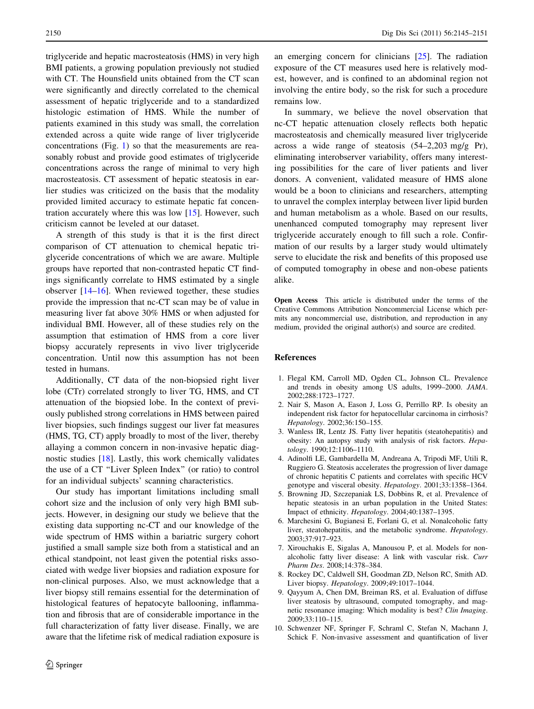<span id="page-5-0"></span>triglyceride and hepatic macrosteatosis (HMS) in very high BMI patients, a growing population previously not studied with CT. The Hounsfield units obtained from the CT scan were significantly and directly correlated to the chemical assessment of hepatic triglyceride and to a standardized histologic estimation of HMS. While the number of patients examined in this study was small, the correlation extended across a quite wide range of liver triglyceride concentrations (Fig. [1\)](#page-4-0) so that the measurements are reasonably robust and provide good estimates of triglyceride concentrations across the range of minimal to very high macrosteatosis. CT assessment of hepatic steatosis in earlier studies was criticized on the basis that the modality provided limited accuracy to estimate hepatic fat concentration accurately where this was low [[15\]](#page-6-0). However, such criticism cannot be leveled at our dataset.

A strength of this study is that it is the first direct comparison of CT attenuation to chemical hepatic triglyceride concentrations of which we are aware. Multiple groups have reported that non-contrasted hepatic CT findings significantly correlate to HMS estimated by a single observer  $[14–16]$  $[14–16]$ . When reviewed together, these studies provide the impression that nc-CT scan may be of value in measuring liver fat above 30% HMS or when adjusted for individual BMI. However, all of these studies rely on the assumption that estimation of HMS from a core liver biopsy accurately represents in vivo liver triglyceride concentration. Until now this assumption has not been tested in humans.

Additionally, CT data of the non-biopsied right liver lobe (CTr) correlated strongly to liver TG, HMS, and CT attenuation of the biopsied lobe. In the context of previously published strong correlations in HMS between paired liver biopsies, such findings suggest our liver fat measures (HMS, TG, CT) apply broadly to most of the liver, thereby allaying a common concern in non-invasive hepatic diagnostic studies [\[18](#page-6-0)]. Lastly, this work chemically validates the use of a CT ''Liver Spleen Index'' (or ratio) to control for an individual subjects' scanning characteristics.

Our study has important limitations including small cohort size and the inclusion of only very high BMI subjects. However, in designing our study we believe that the existing data supporting nc-CT and our knowledge of the wide spectrum of HMS within a bariatric surgery cohort justified a small sample size both from a statistical and an ethical standpoint, not least given the potential risks associated with wedge liver biopsies and radiation exposure for non-clinical purposes. Also, we must acknowledge that a liver biopsy still remains essential for the determination of histological features of hepatocyte ballooning, inflammation and fibrosis that are of considerable importance in the full characterization of fatty liver disease. Finally, we are aware that the lifetime risk of medical radiation exposure is

an emerging concern for clinicians [\[25](#page-6-0)]. The radiation exposure of the CT measures used here is relatively modest, however, and is confined to an abdominal region not involving the entire body, so the risk for such a procedure remains low.

In summary, we believe the novel observation that nc-CT hepatic attenuation closely reflects both hepatic macrosteatosis and chemically measured liver triglyceride across a wide range of steatosis (54–2,203 mg/g Pr), eliminating interobserver variability, offers many interesting possibilities for the care of liver patients and liver donors. A convenient, validated measure of HMS alone would be a boon to clinicians and researchers, attempting to unravel the complex interplay between liver lipid burden and human metabolism as a whole. Based on our results, unenhanced computed tomography may represent liver triglyceride accurately enough to fill such a role. Confirmation of our results by a larger study would ultimately serve to elucidate the risk and benefits of this proposed use of computed tomography in obese and non-obese patients alike.

Open Access This article is distributed under the terms of the Creative Commons Attribution Noncommercial License which permits any noncommercial use, distribution, and reproduction in any medium, provided the original author(s) and source are credited.

## References

- 1. Flegal KM, Carroll MD, Ogden CL, Johnson CL. Prevalence and trends in obesity among US adults, 1999–2000. JAMA. 2002;288:1723–1727.
- 2. Nair S, Mason A, Eason J, Loss G, Perrillo RP. Is obesity an independent risk factor for hepatocellular carcinoma in cirrhosis? Hepatology. 2002;36:150–155.
- 3. Wanless IR, Lentz JS. Fatty liver hepatitis (steatohepatitis) and obesity: An autopsy study with analysis of risk factors. Hepatology. 1990;12:1106–1110.
- 4. Adinolfi LE, Gambardella M, Andreana A, Tripodi MF, Utili R, Ruggiero G. Steatosis accelerates the progression of liver damage of chronic hepatitis C patients and correlates with specific HCV genotype and visceral obesity. Hepatology. 2001;33:1358–1364.
- 5. Browning JD, Szczepaniak LS, Dobbins R, et al. Prevalence of hepatic steatosis in an urban population in the United States: Impact of ethnicity. Hepatology. 2004;40:1387–1395.
- 6. Marchesini G, Bugianesi E, Forlani G, et al. Nonalcoholic fatty liver, steatohepatitis, and the metabolic syndrome. Hepatology. 2003;37:917–923.
- 7. Xirouchakis E, Sigalas A, Manousou P, et al. Models for nonalcoholic fatty liver disease: A link with vascular risk. Curr Pharm Des. 2008;14:378–384.
- 8. Rockey DC, Caldwell SH, Goodman ZD, Nelson RC, Smith AD. Liver biopsy. Hepatology. 2009;49:1017–1044.
- 9. Qayyum A, Chen DM, Breiman RS, et al. Evaluation of diffuse liver steatosis by ultrasound, computed tomography, and magnetic resonance imaging: Which modality is best? Clin Imaging. 2009;33:110–115.
- 10. Schwenzer NF, Springer F, Schraml C, Stefan N, Machann J, Schick F. Non-invasive assessment and quantification of liver